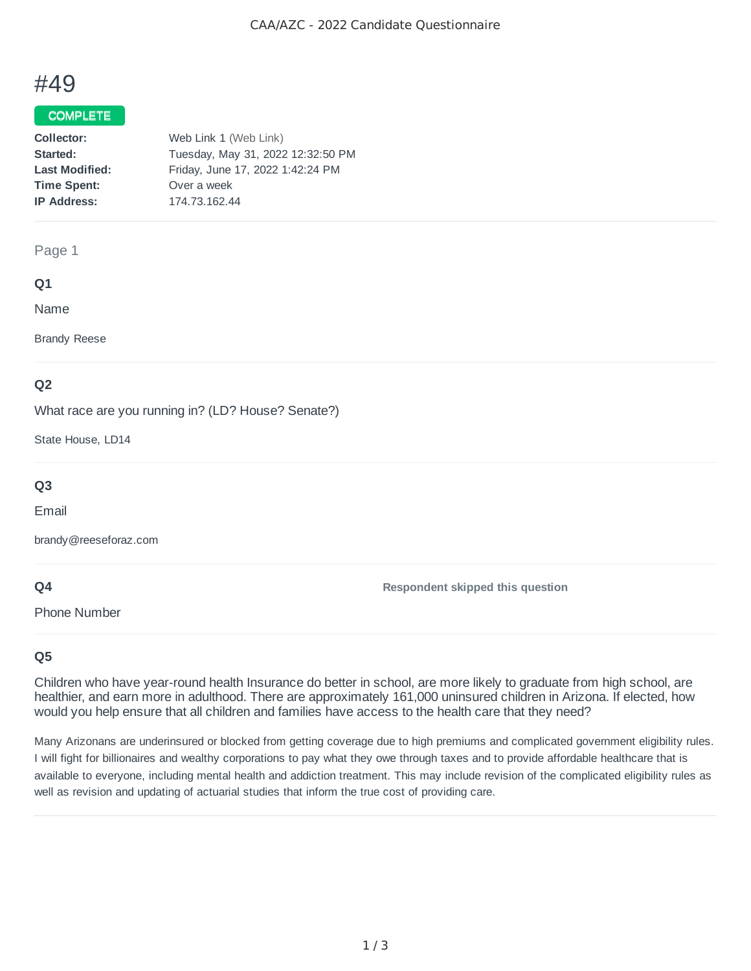# #49

#### COMPLETE

| Collector:            | Web Link 1 (Web Link)             |
|-----------------------|-----------------------------------|
| Started:              | Tuesday, May 31, 2022 12:32:50 PM |
| <b>Last Modified:</b> | Friday, June 17, 2022 1:42:24 PM  |
| <b>Time Spent:</b>    | Over a week                       |
| <b>IP Address:</b>    | 174.73.162.44                     |
|                       |                                   |

#### Page 1

#### **Q1**

Name

Brandy Reese

## **Q2**

What race are you running in? (LD? House? Senate?)

State House, LD14

## **Q3**

Email

brandy@reeseforaz.com

#### **Q4**

Phone Number

**Respondent skipped this question**

## **Q5**

Children who have year-round health Insurance do better in school, are more likely to graduate from high school, are healthier, and earn more in adulthood. There are approximately 161,000 uninsured children in Arizona. If elected, how would you help ensure that all children and families have access to the health care that they need?

Many Arizonans are underinsured or blocked from getting coverage due to high premiums and complicated government eligibility rules. I will fight for billionaires and wealthy corporations to pay what they owe through taxes and to provide affordable healthcare that is available to everyone, including mental health and addiction treatment. This may include revision of the complicated eligibility rules as well as revision and updating of actuarial studies that inform the true cost of providing care.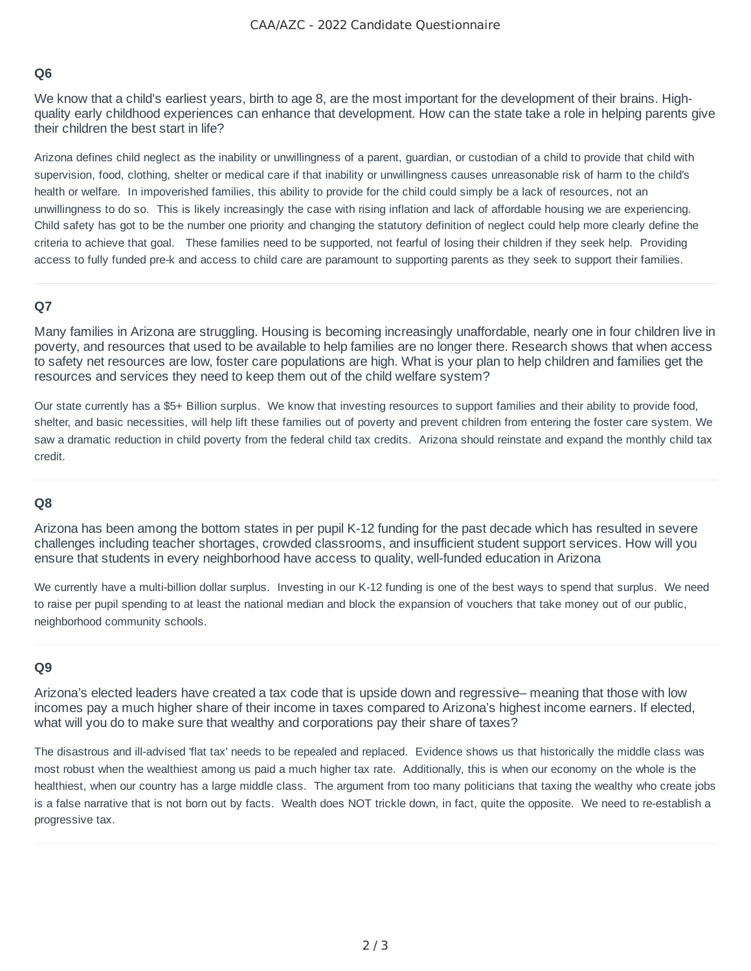## **Q6**

We know that a child's earliest years, birth to age 8, are the most important for the development of their brains. Highquality early childhood experiences can enhance that development. How can the state take a role in helping parents give their children the best start in life?

Arizona defines child neglect as the inability or unwillingness of a parent, guardian, or custodian of a child to provide that child with supervision, food, clothing, shelter or medical care if that inability or unwillingness causes unreasonable risk of harm to the child's health or welfare. In impoverished families, this ability to provide for the child could simply be a lack of resources, not an unwillingness to do so. This is likely increasingly the case with rising inflation and lack of affordable housing we are experiencing. Child safety has got to be the number one priority and changing the statutory definition of neglect could help more clearly define the criteria to achieve that goal. These families need to be supported, not fearful of losing their children if they seek help. Providing access to fully funded pre-k and access to child care are paramount to supporting parents as they seek to support their families.

## **Q7**

Many families in Arizona are struggling. Housing is becoming increasingly unaffordable, nearly one in four children live in poverty, and resources that used to be available to help families are no longer there. Research shows that when access to safety net resources are low, foster care populations are high. What is your plan to help children and families get the resources and services they need to keep them out of the child welfare system?

Our state currently has a \$5+ Billion surplus. We know that investing resources to support families and their ability to provide food, shelter, and basic necessities, will help lift these families out of poverty and prevent children from entering the foster care system. We saw a dramatic reduction in child poverty from the federal child tax credits. Arizona should reinstate and expand the monthly child tax credit.

## **Q8**

Arizona has been among the bottom states in per pupil K-12 funding for the past decade which has resulted in severe challenges including teacher shortages, crowded classrooms, and insufficient student support services. How will you ensure that students in every neighborhood have access to quality, well-funded education in Arizona

We currently have a multi-billion dollar surplus. Investing in our K-12 funding is one of the best ways to spend that surplus. We need to raise per pupil spending to at least the national median and block the expansion of vouchers that take money out of our public, neighborhood community schools.

## **Q9**

Arizona's elected leaders have created a tax code that is upside down and regressive– meaning that those with low incomes pay a much higher share of their income in taxes compared to Arizona's highest income earners. If elected, what will you do to make sure that wealthy and corporations pay their share of taxes?

The disastrous and ill-advised 'flat tax' needs to be repealed and replaced. Evidence shows us that historically the middle class was most robust when the wealthiest among us paid a much higher tax rate. Additionally, this is when our economy on the whole is the healthiest, when our country has a large middle class. The argument from too many politicians that taxing the wealthy who create jobs is a false narrative that is not born out by facts. Wealth does NOT trickle down, in fact, quite the opposite. We need to re-establish a progressive tax.